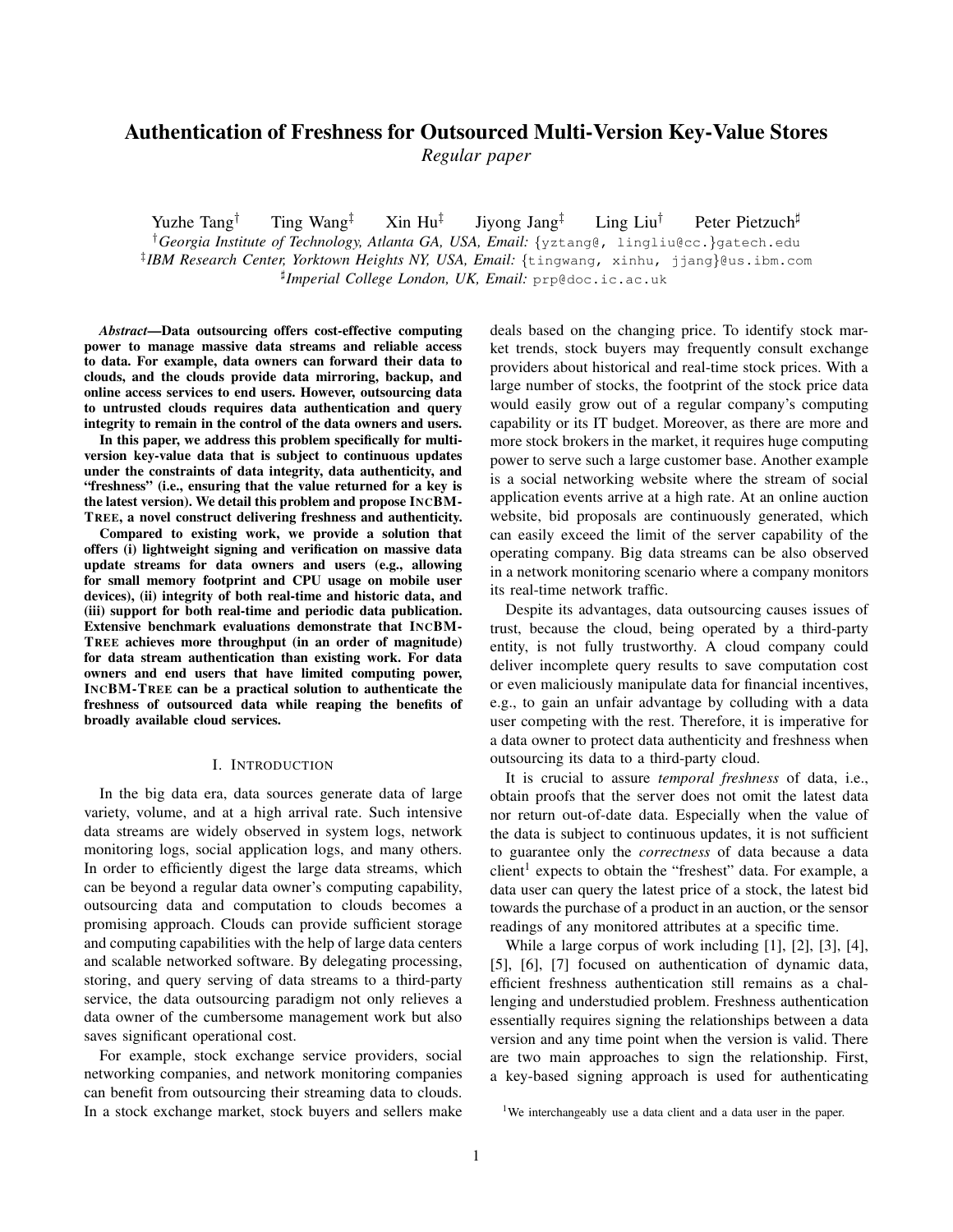# Authentication of Freshness for Outsourced Multi-Version Key-Value Stores *Regular paper*

Yuzhe Tang<sup>†</sup> Ting Wang<sup>‡</sup> Xin Hu<sup>‡</sup> Jiyong Jang‡ Ling Liu† Peter Pietzuch<sup>♯</sup>

†*Georgia Institute of Technology, Atlanta GA, USA, Email:* {yztang@, lingliu@cc.}gatech.edu ‡ *IBM Research Center, Yorktown Heights NY, USA, Email:* {tingwang, xinhu, jjang}@us.ibm.com ♯ *Imperial College London, UK, Email:* prp@doc.ic.ac.uk

*Abstract*—Data outsourcing offers cost-effective computing power to manage massive data streams and reliable access to data. For example, data owners can forward their data to clouds, and the clouds provide data mirroring, backup, and online access services to end users. However, outsourcing data to untrusted clouds requires data authentication and query integrity to remain in the control of the data owners and users.

In this paper, we address this problem specifically for multiversion key-value data that is subject to continuous updates under the constraints of data integrity, data authenticity, and "freshness" (i.e., ensuring that the value returned for a key is the latest version). We detail this problem and propose INCBM-TREE, a novel construct delivering freshness and authenticity.

Compared to existing work, we provide a solution that offers (i) lightweight signing and verification on massive data update streams for data owners and users (e.g., allowing for small memory footprint and CPU usage on mobile user devices), (ii) integrity of both real-time and historic data, and (iii) support for both real-time and periodic data publication. Extensive benchmark evaluations demonstrate that INCBM-TREE achieves more throughput (in an order of magnitude) for data stream authentication than existing work. For data owners and end users that have limited computing power, INCBM-TREE can be a practical solution to authenticate the freshness of outsourced data while reaping the benefits of broadly available cloud services.

#### I. INTRODUCTION

In the big data era, data sources generate data of large variety, volume, and at a high arrival rate. Such intensive data streams are widely observed in system logs, network monitoring logs, social application logs, and many others. In order to efficiently digest the large data streams, which can be beyond a regular data owner's computing capability, outsourcing data and computation to clouds becomes a promising approach. Clouds can provide sufficient storage and computing capabilities with the help of large data centers and scalable networked software. By delegating processing, storing, and query serving of data streams to a third-party service, the data outsourcing paradigm not only relieves a data owner of the cumbersome management work but also saves significant operational cost.

For example, stock exchange service providers, social networking companies, and network monitoring companies can benefit from outsourcing their streaming data to clouds. In a stock exchange market, stock buyers and sellers make deals based on the changing price. To identify stock market trends, stock buyers may frequently consult exchange providers about historical and real-time stock prices. With a large number of stocks, the footprint of the stock price data would easily grow out of a regular company's computing capability or its IT budget. Moreover, as there are more and more stock brokers in the market, it requires huge computing power to serve such a large customer base. Another example is a social networking website where the stream of social application events arrive at a high rate. At an online auction website, bid proposals are continuously generated, which can easily exceed the limit of the server capability of the operating company. Big data streams can be also observed in a network monitoring scenario where a company monitors its real-time network traffic.

Despite its advantages, data outsourcing causes issues of trust, because the cloud, being operated by a third-party entity, is not fully trustworthy. A cloud company could deliver incomplete query results to save computation cost or even maliciously manipulate data for financial incentives, e.g., to gain an unfair advantage by colluding with a data user competing with the rest. Therefore, it is imperative for a data owner to protect data authenticity and freshness when outsourcing its data to a third-party cloud.

It is crucial to assure *temporal freshness* of data, i.e., obtain proofs that the server does not omit the latest data nor return out-of-date data. Especially when the value of the data is subject to continuous updates, it is not sufficient to guarantee only the *correctness* of data because a data client<sup>1</sup> expects to obtain the "freshest" data. For example, a data user can query the latest price of a stock, the latest bid towards the purchase of a product in an auction, or the sensor readings of any monitored attributes at a specific time.

While a large corpus of work including [1], [2], [3], [4], [5], [6], [7] focused on authentication of dynamic data, efficient freshness authentication still remains as a challenging and understudied problem. Freshness authentication essentially requires signing the relationships between a data version and any time point when the version is valid. There are two main approaches to sign the relationship. First, a key-based signing approach is used for authenticating

<sup>&</sup>lt;sup>1</sup>We interchangeably use a data client and a data user in the paper.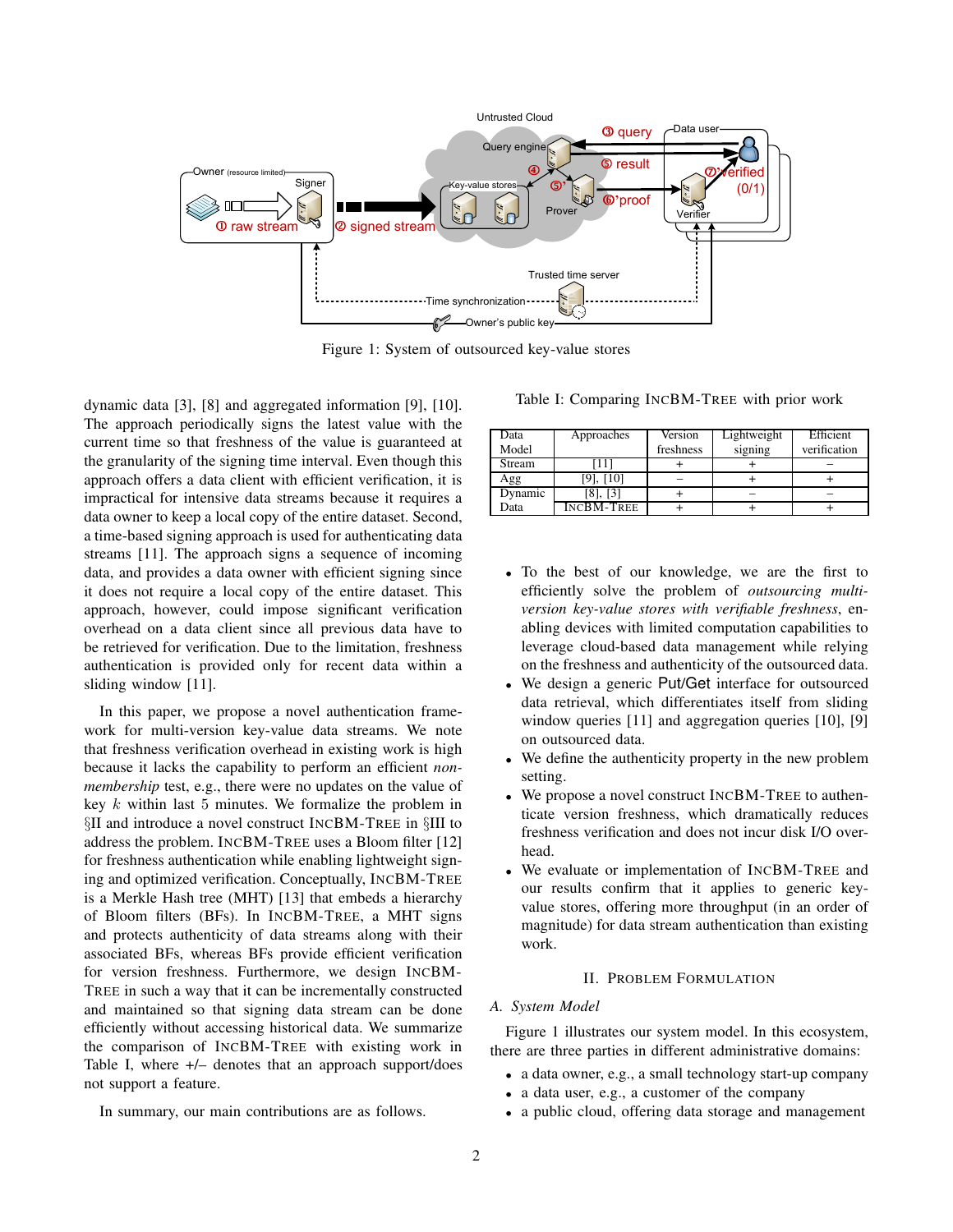

Figure 1: System of outsourced key-value stores

dynamic data [3], [8] and aggregated information [9], [10]. The approach periodically signs the latest value with the current time so that freshness of the value is guaranteed at the granularity of the signing time interval. Even though this approach offers a data client with efficient verification, it is impractical for intensive data streams because it requires a data owner to keep a local copy of the entire dataset. Second, a time-based signing approach is used for authenticating data streams [11]. The approach signs a sequence of incoming data, and provides a data owner with efficient signing since it does not require a local copy of the entire dataset. This approach, however, could impose significant verification overhead on a data client since all previous data have to be retrieved for verification. Due to the limitation, freshness authentication is provided only for recent data within a sliding window [11].

In this paper, we propose a novel authentication framework for multi-version key-value data streams. We note that freshness verification overhead in existing work is high because it lacks the capability to perform an efficient *nonmembership* test, e.g., there were no updates on the value of key  $k$  within last 5 minutes. We formalize the problem in §II and introduce a novel construct INCBM-TREE in §III to address the problem. INCBM-TREE uses a Bloom filter [12] for freshness authentication while enabling lightweight signing and optimized verification. Conceptually, INCBM-TREE is a Merkle Hash tree (MHT) [13] that embeds a hierarchy of Bloom filters (BFs). In INCBM-TREE, a MHT signs and protects authenticity of data streams along with their associated BFs, whereas BFs provide efficient verification for version freshness. Furthermore, we design INCBM-TREE in such a way that it can be incrementally constructed and maintained so that signing data stream can be done efficiently without accessing historical data. We summarize the comparison of INCBM-TREE with existing work in Table I, where +/– denotes that an approach support/does not support a feature.

Table I: Comparing INCBM-TREE with prior work

| Data    | Approaches        | Version   | Lightweight | Efficient    |
|---------|-------------------|-----------|-------------|--------------|
| Model   |                   | freshness | signing     | verification |
| Stream  |                   |           |             |              |
| Agg     | [9], [10]         |           |             |              |
| Dynamic | [8], [3]          |           |             |              |
| Data    | <b>INCBM-TREE</b> |           |             |              |

- To the best of our knowledge, we are the first to efficiently solve the problem of *outsourcing multiversion key-value stores with verifiable freshness*, enabling devices with limited computation capabilities to leverage cloud-based data management while relying on the freshness and authenticity of the outsourced data.
- We design a generic Put/Get interface for outsourced data retrieval, which differentiates itself from sliding window queries [11] and aggregation queries [10], [9] on outsourced data.
- We define the authenticity property in the new problem setting.
- We propose a novel construct INCBM-TREE to authenticate version freshness, which dramatically reduces freshness verification and does not incur disk I/O overhead.
- We evaluate or implementation of INCBM-TREE and our results confirm that it applies to generic keyvalue stores, offering more throughput (in an order of magnitude) for data stream authentication than existing work.

# II. PROBLEM FORMULATION

# *A. System Model*

Figure 1 illustrates our system model. In this ecosystem, there are three parties in different administrative domains:

- a data owner, e.g., a small technology start-up company
- a data user, e.g., a customer of the company
- a public cloud, offering data storage and management

In summary, our main contributions are as follows.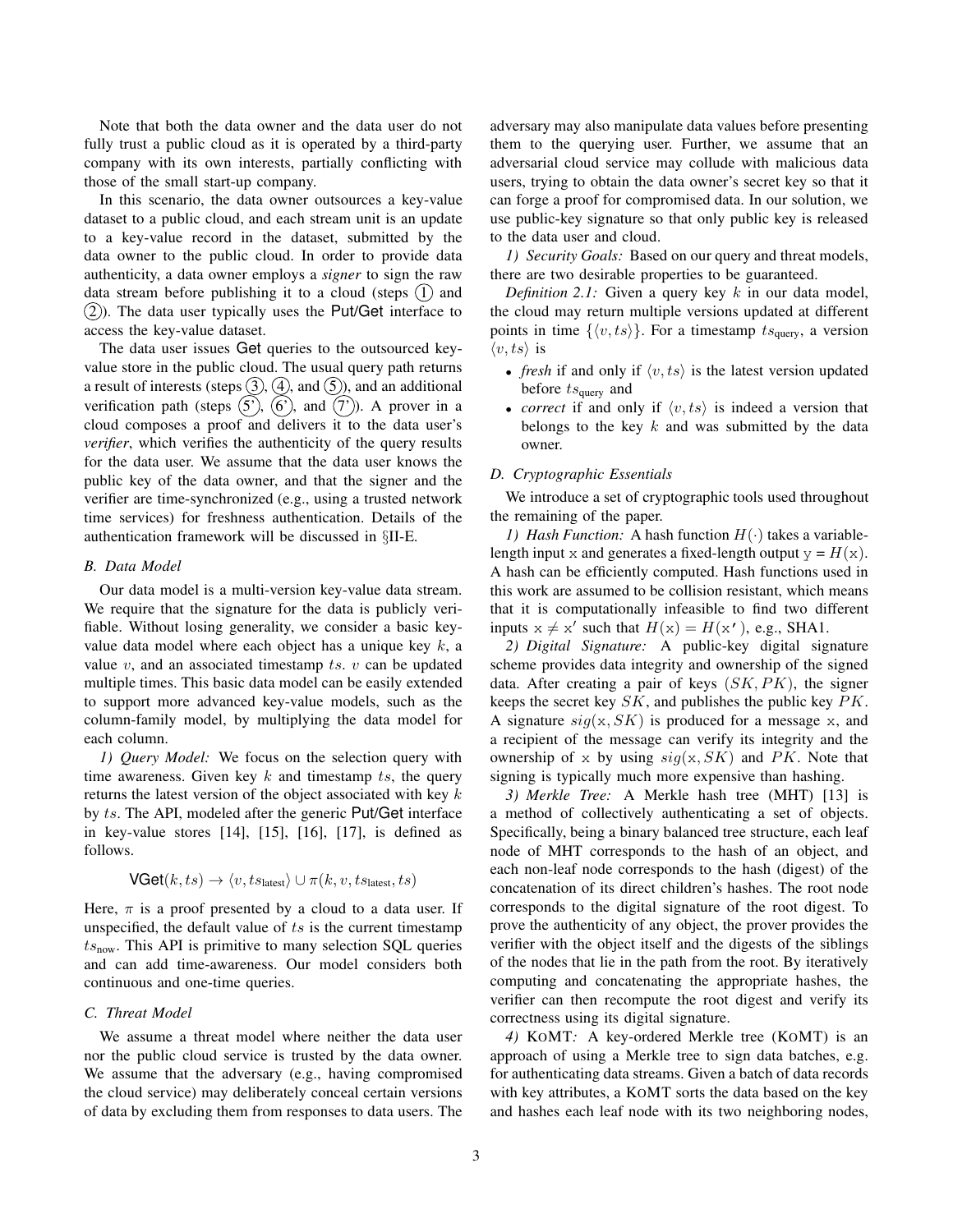Note that both the data owner and the data user do not fully trust a public cloud as it is operated by a third-party company with its own interests, partially conflicting with those of the small start-up company.

In this scenario, the data owner outsources a key-value dataset to a public cloud, and each stream unit is an update to a key-value record in the dataset, submitted by the data owner to the public cloud. In order to provide data authenticity, a data owner employs a *signer* to sign the raw data stream before publishing it to a cloud (steps  $(1)$  and  $(2)$ ). The data user typically uses the Put/Get interface to access the key-value dataset.

The data user issues Get queries to the outsourced keyvalue store in the public cloud. The usual query path returns a result of interests (steps  $(3)$ ,  $(4)$ , and  $(5)$ ), and an additional verification path (steps  $(5')$ ,  $(6')$ , and  $(7')$ ). A prover in a cloud composes a proof and delivers it to the data user's *verifier*, which verifies the authenticity of the query results for the data user. We assume that the data user knows the public key of the data owner, and that the signer and the verifier are time-synchronized (e.g., using a trusted network time services) for freshness authentication. Details of the authentication framework will be discussed in §II-E.

## *B. Data Model*

Our data model is a multi-version key-value data stream. We require that the signature for the data is publicly verifiable. Without losing generality, we consider a basic keyvalue data model where each object has a unique key  $k$ , a value  $v$ , and an associated timestamp  $ts$ .  $v$  can be updated multiple times. This basic data model can be easily extended to support more advanced key-value models, such as the column-family model, by multiplying the data model for each column.

*1) Query Model:* We focus on the selection query with time awareness. Given key  $k$  and timestamp  $ts$ , the query returns the latest version of the object associated with key  $k$ by ts. The API, modeled after the generic Put/Get interface in key-value stores [14], [15], [16], [17], is defined as follows.

$$
\text{VGet}(k, ts) \rightarrow \langle v, ts_{\text{latest}} \rangle \cup \pi(k, v, ts_{\text{latest}}, ts)
$$

Here,  $\pi$  is a proof presented by a cloud to a data user. If unspecified, the default value of  $ts$  is the current timestamp  $ts<sub>now</sub>$ . This API is primitive to many selection SQL queries and can add time-awareness. Our model considers both continuous and one-time queries.

#### *C. Threat Model*

We assume a threat model where neither the data user nor the public cloud service is trusted by the data owner. We assume that the adversary (e.g., having compromised the cloud service) may deliberately conceal certain versions of data by excluding them from responses to data users. The adversary may also manipulate data values before presenting them to the querying user. Further, we assume that an adversarial cloud service may collude with malicious data users, trying to obtain the data owner's secret key so that it can forge a proof for compromised data. In our solution, we use public-key signature so that only public key is released to the data user and cloud.

*1) Security Goals:* Based on our query and threat models, there are two desirable properties to be guaranteed.

*Definition 2.1:* Given a query key k in our data model, the cloud may return multiple versions updated at different points in time  $\{\langle v, ts \rangle\}$ . For a timestamp  $ts_{query}$ , a version  $\langle v, ts \rangle$  is

- *fresh* if and only if  $\langle v, ts \rangle$  is the latest version updated before  $ts_{query}$  and
- *correct* if and only if  $\langle v, ts \rangle$  is indeed a version that belongs to the key  $k$  and was submitted by the data owner.

#### *D. Cryptographic Essentials*

We introduce a set of cryptographic tools used throughout the remaining of the paper.

*1) Hash Function:* A hash function  $H(\cdot)$  takes a variablelength input x and generates a fixed-length output  $y = H(x)$ . A hash can be efficiently computed. Hash functions used in this work are assumed to be collision resistant, which means that it is computationally infeasible to find two different inputs  $x \neq x'$  such that  $H(x) = H(x')$ , e.g., SHA1.

*2) Digital Signature:* A public-key digital signature scheme provides data integrity and ownership of the signed data. After creating a pair of keys  $(SK, PK)$ , the signer keeps the secret key SK, and publishes the public key PK. A signature  $sig(x, SK)$  is produced for a message x, and a recipient of the message can verify its integrity and the ownership of x by using  $sig(x, SK)$  and PK. Note that signing is typically much more expensive than hashing.

*3) Merkle Tree:* A Merkle hash tree (MHT) [13] is a method of collectively authenticating a set of objects. Specifically, being a binary balanced tree structure, each leaf node of MHT corresponds to the hash of an object, and each non-leaf node corresponds to the hash (digest) of the concatenation of its direct children's hashes. The root node corresponds to the digital signature of the root digest. To prove the authenticity of any object, the prover provides the verifier with the object itself and the digests of the siblings of the nodes that lie in the path from the root. By iteratively computing and concatenating the appropriate hashes, the verifier can then recompute the root digest and verify its correctness using its digital signature.

*4)* KOMT*:* A key-ordered Merkle tree (KOMT) is an approach of using a Merkle tree to sign data batches, e.g. for authenticating data streams. Given a batch of data records with key attributes, a KOMT sorts the data based on the key and hashes each leaf node with its two neighboring nodes,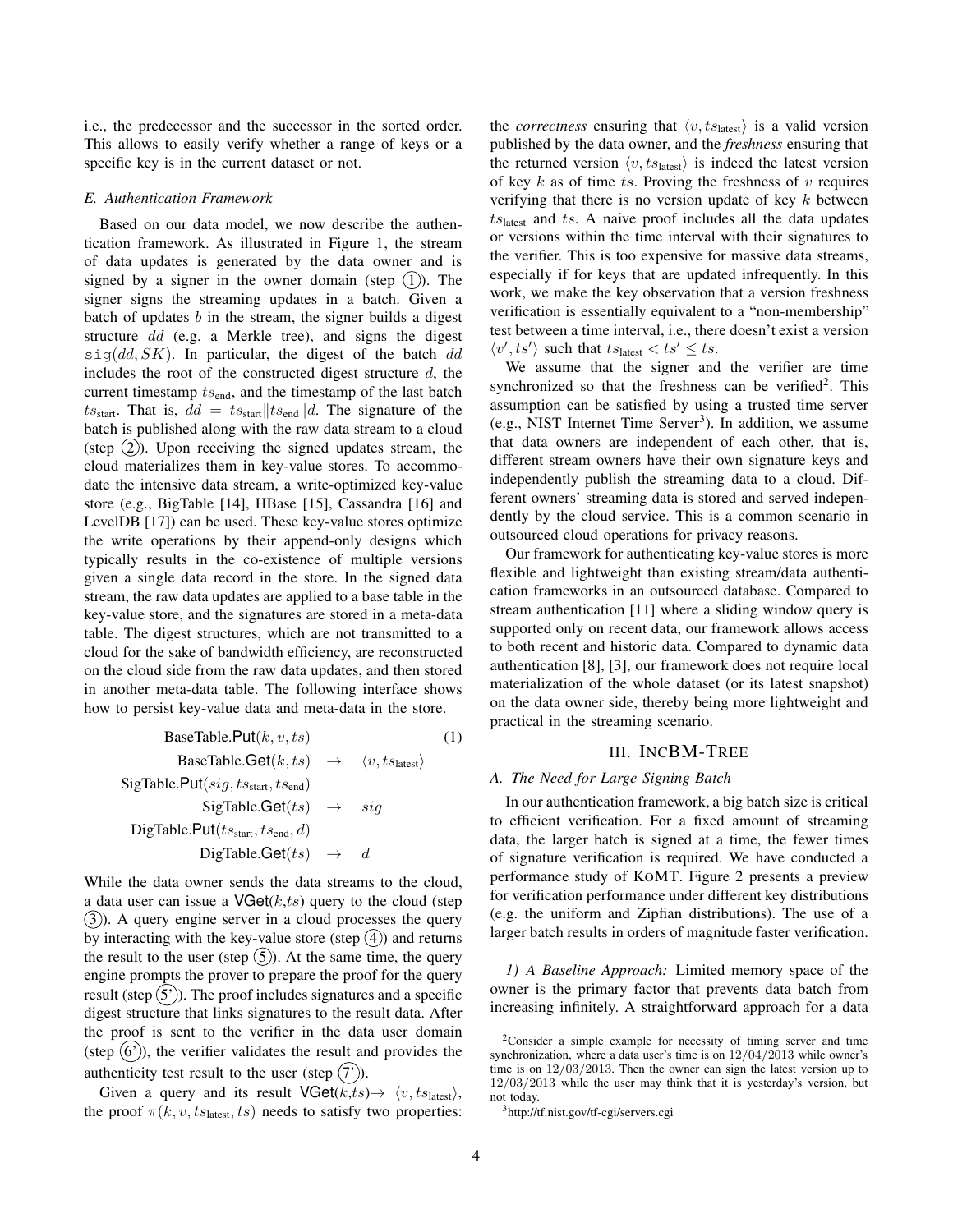i.e., the predecessor and the successor in the sorted order. This allows to easily verify whether a range of keys or a specific key is in the current dataset or not.

#### *E. Authentication Framework*

Based on our data model, we now describe the authentication framework. As illustrated in Figure 1, the stream of data updates is generated by the data owner and is signed by a signer in the owner domain (step  $(1)$ ). The signer signs the streaming updates in a batch. Given a batch of updates  $b$  in the stream, the signer builds a digest structure dd (e.g. a Merkle tree), and signs the digest  $sig(dd, SK)$ . In particular, the digest of the batch dd includes the root of the constructed digest structure  $d$ , the current timestamp  $ts<sub>end</sub>$ , and the timestamp of the last batch ts<sub>start</sub>. That is,  $dd = ts_{start}||ts_{end}||d$ . The signature of the batch is published along with the raw data stream to a cloud (step  $(2)$ ). Upon receiving the signed updates stream, the cloud materializes them in key-value stores. To accommodate the intensive data stream, a write-optimized key-value store (e.g., BigTable [14], HBase [15], Cassandra [16] and LevelDB [17]) can be used. These key-value stores optimize the write operations by their append-only designs which typically results in the co-existence of multiple versions given a single data record in the store. In the signed data stream, the raw data updates are applied to a base table in the key-value store, and the signatures are stored in a meta-data table. The digest structures, which are not transmitted to a cloud for the sake of bandwidth efficiency, are reconstructed on the cloud side from the raw data updates, and then stored in another meta-data table. The following interface shows how to persist key-value data and meta-data in the store.

BaseTable.Put(k, v, ts) (1)  
\nBaseTable.Get(k, ts) 
$$
\rightarrow
$$
  $\langle v, ts_{\text{lastest}} \rangle$   
\nSigTable.Put(sig, ts\_{\text{start}}, ts\_{\text{end}})  
\nSigTable.Get(ts)  $\rightarrow$  sig  
\nDigTable.Put(ts\_{\text{start}}, ts\_{\text{end}}, d)  
\nDigTable.Get(ts)  $\rightarrow$  d

While the data owner sends the data streams to the cloud, a data user can issue a  $V\text{Get}(k, ts)$  query to the cloud (step  $(3)$ ). A query engine server in a cloud processes the query by interacting with the key-value store (step  $(4)$ ) and returns the result to the user (step  $(5)$ ). At the same time, the query engine prompts the prover to prepare the proof for the query result (step  $(5')$ ). The proof includes signatures and a specific digest structure that links signatures to the result data. After the proof is sent to the verifier in the data user domain (step  $(6')$ ), the verifier validates the result and provides the authenticity test result to the user (step  $(7')$ ).

Given a query and its result  $\text{VGet}(k, ts) \rightarrow \langle v, ts_{\text{latest}} \rangle$ , the proof  $\pi(k, v, t_{\text{Slates}}, ts)$  needs to satisfy two properties: the *correctness* ensuring that  $\langle v, ts_{\text{lastest}} \rangle$  is a valid version published by the data owner, and the *freshness* ensuring that the returned version  $\langle v, ts_{\text{latest}} \rangle$  is indeed the latest version of key  $k$  as of time ts. Proving the freshness of  $v$  requires verifying that there is no version update of key  $k$  between  $ts<sub>latest</sub>$  and ts. A naive proof includes all the data updates or versions within the time interval with their signatures to the verifier. This is too expensive for massive data streams, especially if for keys that are updated infrequently. In this work, we make the key observation that a version freshness verification is essentially equivalent to a "non-membership" test between a time interval, i.e., there doesn't exist a version  $\langle v', ts' \rangle$  such that  $ts_{\text{lastest}} < ts' \leq ts$ .

We assume that the signer and the verifier are time synchronized so that the freshness can be verified<sup>2</sup>. This assumption can be satisfied by using a trusted time server (e.g., NIST Internet Time Server<sup>3</sup>). In addition, we assume that data owners are independent of each other, that is, different stream owners have their own signature keys and independently publish the streaming data to a cloud. Different owners' streaming data is stored and served independently by the cloud service. This is a common scenario in outsourced cloud operations for privacy reasons.

Our framework for authenticating key-value stores is more flexible and lightweight than existing stream/data authentication frameworks in an outsourced database. Compared to stream authentication [11] where a sliding window query is supported only on recent data, our framework allows access to both recent and historic data. Compared to dynamic data authentication [8], [3], our framework does not require local materialization of the whole dataset (or its latest snapshot) on the data owner side, thereby being more lightweight and practical in the streaming scenario.

# III. INCBM-TREE

# *A. The Need for Large Signing Batch*

In our authentication framework, a big batch size is critical to efficient verification. For a fixed amount of streaming data, the larger batch is signed at a time, the fewer times of signature verification is required. We have conducted a performance study of KOMT. Figure 2 presents a preview for verification performance under different key distributions (e.g. the uniform and Zipfian distributions). The use of a larger batch results in orders of magnitude faster verification.

*1) A Baseline Approach:* Limited memory space of the owner is the primary factor that prevents data batch from increasing infinitely. A straightforward approach for a data

<sup>3</sup>http://tf.nist.gov/tf-cgi/servers.cgi

<sup>2</sup>Consider a simple example for necessity of timing server and time synchronization, where a data user's time is on 12/04/2013 while owner's time is on 12/03/2013. Then the owner can sign the latest version up to 12/03/2013 while the user may think that it is yesterday's version, but not today.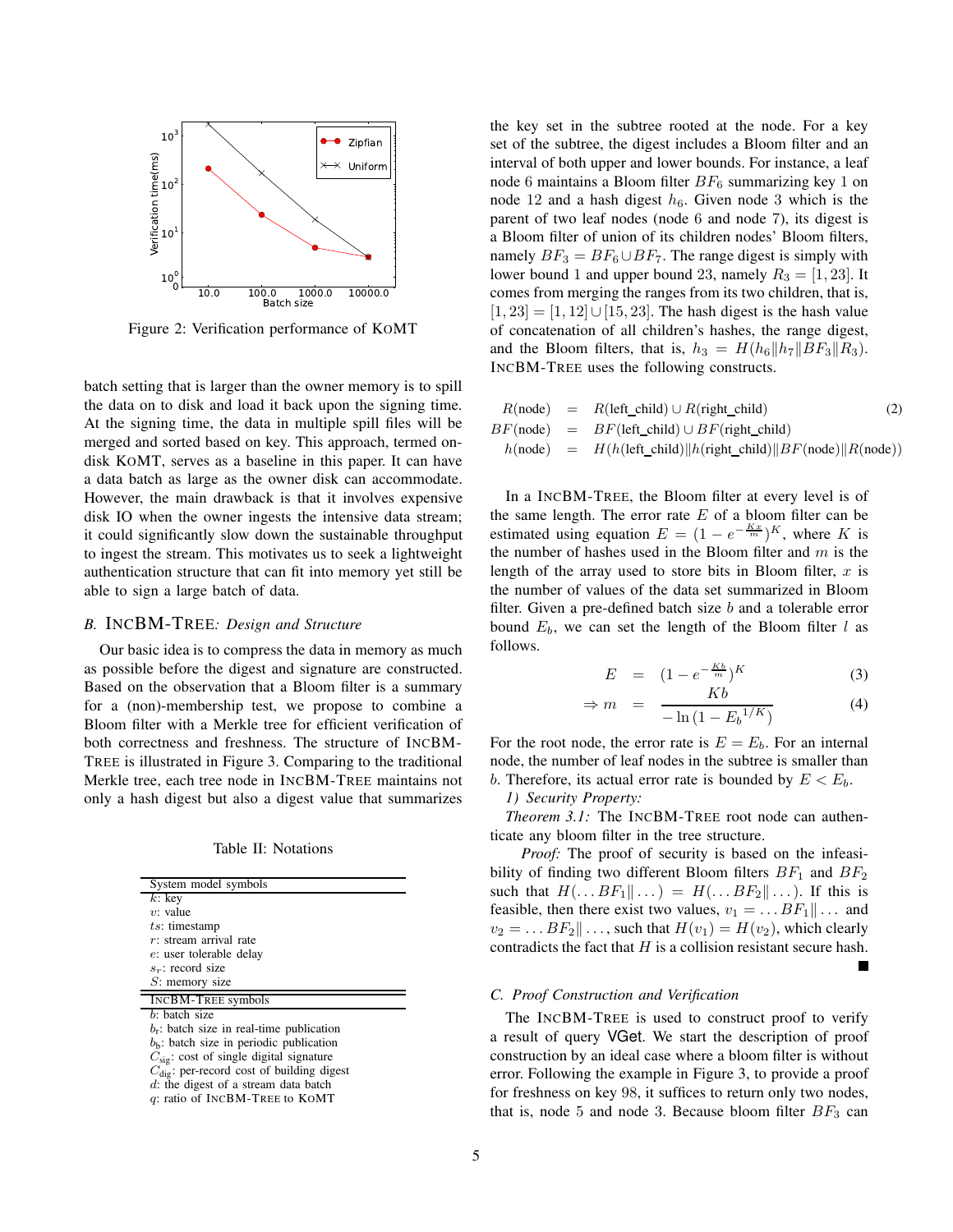

Figure 2: Verification performance of KOMT

batch setting that is larger than the owner memory is to spill the data on to disk and load it back upon the signing time. At the signing time, the data in multiple spill files will be merged and sorted based on key. This approach, termed ondisk KOMT, serves as a baseline in this paper. It can have a data batch as large as the owner disk can accommodate. However, the main drawback is that it involves expensive disk IO when the owner ingests the intensive data stream; it could significantly slow down the sustainable throughput to ingest the stream. This motivates us to seek a lightweight authentication structure that can fit into memory yet still be able to sign a large batch of data.

# *B.* INCBM-TREE*: Design and Structure*

Our basic idea is to compress the data in memory as much as possible before the digest and signature are constructed. Based on the observation that a Bloom filter is a summary for a (non)-membership test, we propose to combine a Bloom filter with a Merkle tree for efficient verification of both correctness and freshness. The structure of INCBM-TREE is illustrated in Figure 3. Comparing to the traditional Merkle tree, each tree node in INCBM-TREE maintains not only a hash digest but also a digest value that summarizes

Table II: Notations

| System model symbols                                  |  |  |
|-------------------------------------------------------|--|--|
| $k$ : key                                             |  |  |
| $v:$ value                                            |  |  |
| $ts:$ timestamp                                       |  |  |
| $r$ : stream arrival rate                             |  |  |
| e: user tolerable delay                               |  |  |
| $s_r$ : record size                                   |  |  |
| $S$ : memory size                                     |  |  |
| <b>INCBM-TREE symbols</b>                             |  |  |
| $b$ : batch size                                      |  |  |
| $b_{r}$ : batch size in real-time publication         |  |  |
| $b_{\rm b}$ : batch size in periodic publication      |  |  |
| $C_{\text{sig}}$ : cost of single digital signature   |  |  |
| $C_{\text{die}}$ : per-record cost of building digest |  |  |
| $d$ : the digest of a stream data batch               |  |  |

q: ratio of INCBM-TREE to KOMT

the key set in the subtree rooted at the node. For a key set of the subtree, the digest includes a Bloom filter and an interval of both upper and lower bounds. For instance, a leaf node 6 maintains a Bloom filter  $BF_6$  summarizing key 1 on node 12 and a hash digest  $h_6$ . Given node 3 which is the parent of two leaf nodes (node 6 and node 7), its digest is a Bloom filter of union of its children nodes' Bloom filters, namely  $BF_3 = BF_6 \cup BF_7$ . The range digest is simply with lower bound 1 and upper bound 23, namely  $R_3 = [1, 23]$ . It comes from merging the ranges from its two children, that is,  $[1, 23] = [1, 12] \cup [15, 23]$ . The hash digest is the hash value of concatenation of all children's hashes, the range digest, and the Bloom filters, that is,  $h_3 = H(h_6||h_7||BF_3||R_3)$ . INCBM-TREE uses the following constructs.

$$
R(\text{node}) = R(\text{left\_child}) \cup R(\text{right\_child}) \tag{2}
$$
  
\n
$$
BF(\text{node}) = BF(\text{left\_child}) \cup BF(\text{right\_child})
$$
  
\n
$$
h(\text{node}) = H(h(\text{left\_child}) \| h(\text{right\_child}) \| BF(\text{node}) \| R(\text{node}))
$$

In a INCBM-TREE, the Bloom filter at every level is of the same length. The error rate  $E$  of a bloom filter can be estimated using equation  $E = (1 - e^{-\frac{Kx}{m}})^K$ , where K is the number of hashes used in the Bloom filter and  $m$  is the length of the array used to store bits in Bloom filter,  $x$  is the number of values of the data set summarized in Bloom filter. Given a pre-defined batch size  $b$  and a tolerable error bound  $E_b$ , we can set the length of the Bloom filter l as follows.

$$
E = (1 - e^{-\frac{Kb}{m}})^K \tag{3}
$$

$$
m = \frac{R \theta}{-\ln(1 - E_b^{1/K})}
$$
 (4)

L.

For the root node, the error rate is  $E = E_b$ . For an internal node, the number of leaf nodes in the subtree is smaller than b. Therefore, its actual error rate is bounded by  $E < E<sub>b</sub>$ .

*1) Security Property:*

 $\Rightarrow$ 

*Theorem 3.1:* The INCBM-TREE root node can authenticate any bloom filter in the tree structure.

*Proof:* The proof of security is based on the infeasibility of finding two different Bloom filters  $BF_1$  and  $BF_2$ such that  $H(\ldots BF_1||\ldots) = H(\ldots BF_2||\ldots)$ . If this is feasible, then there exist two values,  $v_1 = \dots BF_1 || \dots$  and  $v_2 = \ldots BF_2 || \ldots$ , such that  $H(v_1) = H(v_2)$ , which clearly contradicts the fact that  $H$  is a collision resistant secure hash.

## *C. Proof Construction and Verification*

The INCBM-TREE is used to construct proof to verify a result of query VGet. We start the description of proof construction by an ideal case where a bloom filter is without error. Following the example in Figure 3, to provide a proof for freshness on key 98, it suffices to return only two nodes, that is, node 5 and node 3. Because bloom filter  $BF_3$  can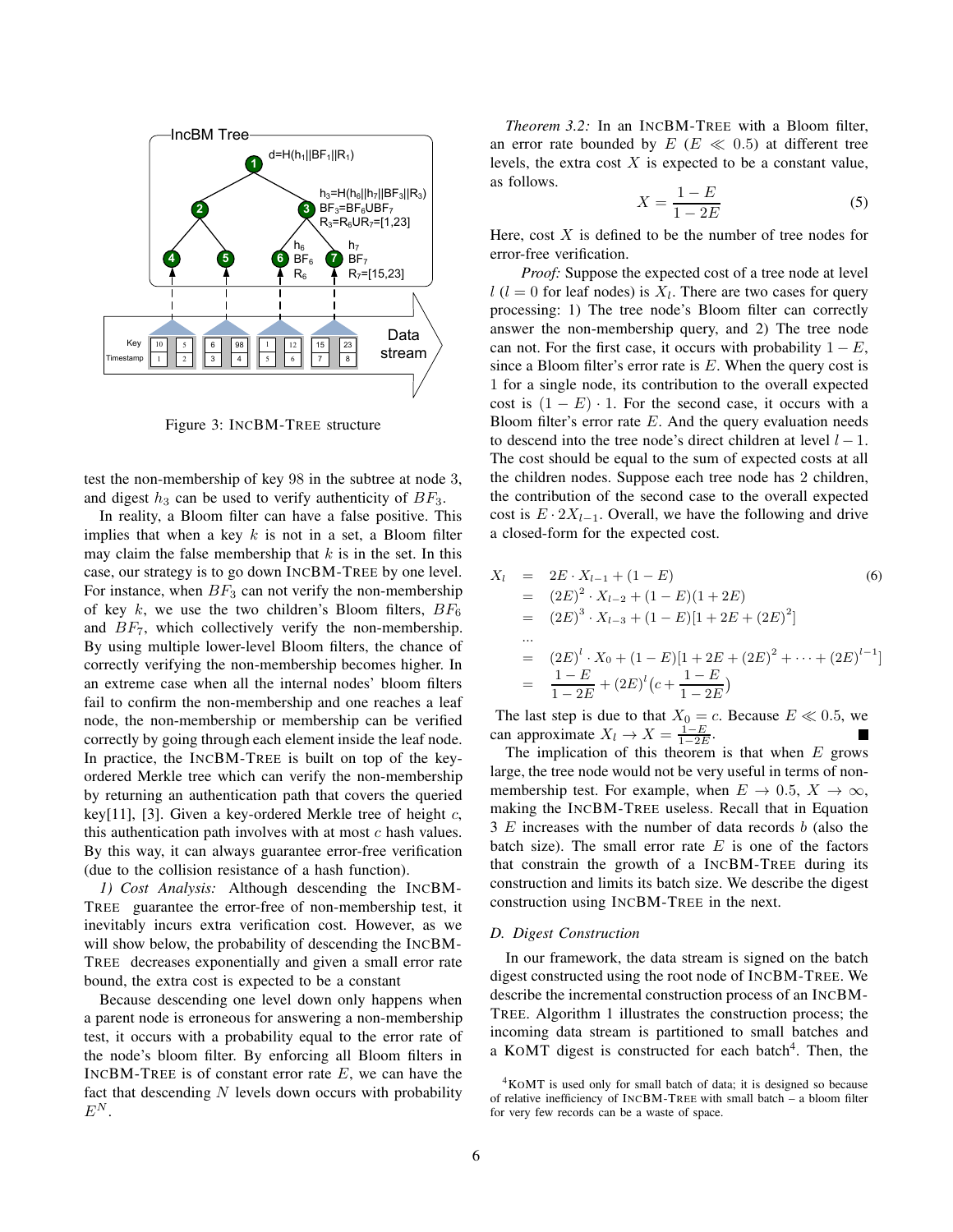

Figure 3: INCBM-TREE structure

test the non-membership of key 98 in the subtree at node 3, and digest  $h_3$  can be used to verify authenticity of  $BF_3$ .

In reality, a Bloom filter can have a false positive. This implies that when a key  $k$  is not in a set, a Bloom filter may claim the false membership that  $k$  is in the set. In this case, our strategy is to go down INCBM-TREE by one level. For instance, when  $BF_3$  can not verify the non-membership of key  $k$ , we use the two children's Bloom filters,  $BF_6$ and  $BF_7$ , which collectively verify the non-membership. By using multiple lower-level Bloom filters, the chance of correctly verifying the non-membership becomes higher. In an extreme case when all the internal nodes' bloom filters fail to confirm the non-membership and one reaches a leaf node, the non-membership or membership can be verified correctly by going through each element inside the leaf node. In practice, the INCBM-TREE is built on top of the keyordered Merkle tree which can verify the non-membership by returning an authentication path that covers the queried key[11], [3]. Given a key-ordered Merkle tree of height  $c$ , this authentication path involves with at most  $c$  hash values. By this way, it can always guarantee error-free verification (due to the collision resistance of a hash function).

*1) Cost Analysis:* Although descending the INCBM-TREE guarantee the error-free of non-membership test, it inevitably incurs extra verification cost. However, as we will show below, the probability of descending the INCBM-TREE decreases exponentially and given a small error rate bound, the extra cost is expected to be a constant

Because descending one level down only happens when a parent node is erroneous for answering a non-membership test, it occurs with a probability equal to the error rate of the node's bloom filter. By enforcing all Bloom filters in INCBM-TREE is of constant error rate  $E$ , we can have the fact that descending  $N$  levels down occurs with probability  $E^N$ .

*Theorem 3.2:* In an INCBM-TREE with a Bloom filter, an error rate bounded by  $E(E \ll 0.5)$  at different tree levels, the extra cost  $X$  is expected to be a constant value, as follows.

$$
X = \frac{1 - E}{1 - 2E} \tag{5}
$$

Here, cost  $X$  is defined to be the number of tree nodes for error-free verification.

*Proof:* Suppose the expected cost of a tree node at level  $l$  ( $l = 0$  for leaf nodes) is  $X_l$ . There are two cases for query processing: 1) The tree node's Bloom filter can correctly answer the non-membership query, and 2) The tree node can not. For the first case, it occurs with probability  $1 - E$ , since a Bloom filter's error rate is  $E$ . When the query cost is 1 for a single node, its contribution to the overall expected cost is  $(1 - E) \cdot 1$ . For the second case, it occurs with a Bloom filter's error rate  $E$ . And the query evaluation needs to descend into the tree node's direct children at level  $l - 1$ . The cost should be equal to the sum of expected costs at all the children nodes. Suppose each tree node has 2 children, the contribution of the second case to the overall expected cost is  $E \cdot 2X_{l-1}$ . Overall, we have the following and drive a closed-form for the expected cost.

$$
X_l = 2E \cdot X_{l-1} + (1 - E)
$$
\n
$$
= (2E)^2 \cdot X_{l-2} + (1 - E)(1 + 2E)
$$
\n
$$
= (2E)^3 \cdot X_{l-3} + (1 - E)[1 + 2E + (2E)^2]
$$
\n
$$
\dots
$$
\n
$$
= (2E)^l \cdot X_0 + (1 - E)[1 + 2E + (2E)^2 + \dots + (2E)^{l-1}]
$$
\n
$$
= \frac{1 - E}{1 - 2E} + (2E)^l (c + \frac{1 - E}{1 - 2E})
$$
\n(6)

The last step is due to that  $X_0 = c$ . Because  $E \ll 0.5$ , we can approximate  $X_l \to X = \frac{1-E}{1-2E}$ .

The implication of this theorem is that when  $E$  grows large, the tree node would not be very useful in terms of nonmembership test. For example, when  $E \to 0.5$ ,  $X \to \infty$ , making the INCBM-TREE useless. Recall that in Equation  $3 E$  increases with the number of data records b (also the batch size). The small error rate  $E$  is one of the factors that constrain the growth of a INCBM-TREE during its construction and limits its batch size. We describe the digest construction using INCBM-TREE in the next.

## *D. Digest Construction*

In our framework, the data stream is signed on the batch digest constructed using the root node of INCBM-TREE. We describe the incremental construction process of an INCBM-TREE. Algorithm 1 illustrates the construction process; the incoming data stream is partitioned to small batches and a KOMT digest is constructed for each batch<sup>4</sup>. Then, the

<sup>&</sup>lt;sup>4</sup>KOMT is used only for small batch of data; it is designed so because of relative inefficiency of INCBM-TREE with small batch – a bloom filter for very few records can be a waste of space.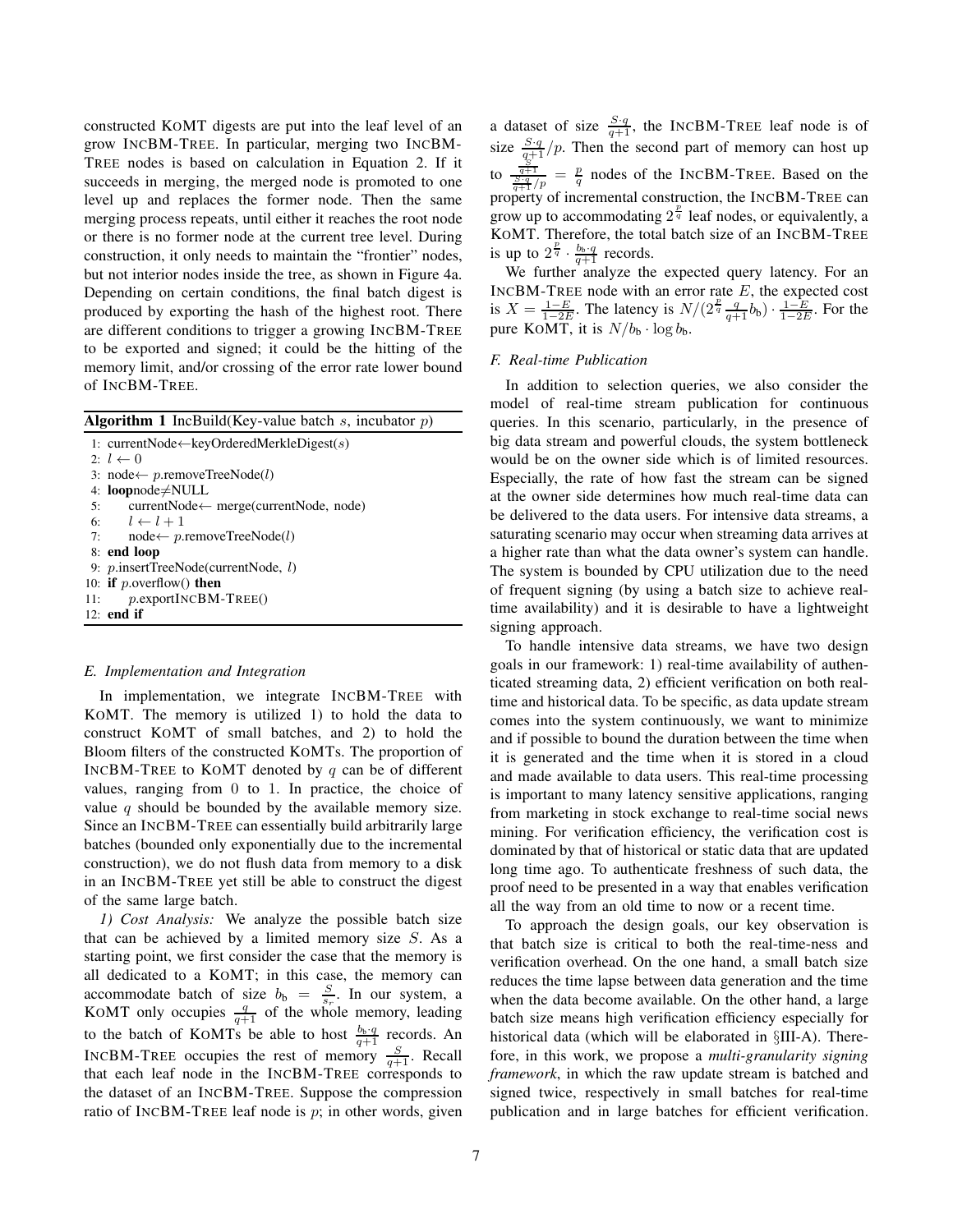constructed KOMT digests are put into the leaf level of an grow INCBM-TREE. In particular, merging two INCBM-TREE nodes is based on calculation in Equation 2. If it succeeds in merging, the merged node is promoted to one level up and replaces the former node. Then the same merging process repeats, until either it reaches the root node or there is no former node at the current tree level. During construction, it only needs to maintain the "frontier" nodes, but not interior nodes inside the tree, as shown in Figure 4a. Depending on certain conditions, the final batch digest is produced by exporting the hash of the highest root. There are different conditions to trigger a growing INCBM-TREE to be exported and signed; it could be the hitting of the memory limit, and/or crossing of the error rate lower bound of INCBM-TREE.

| <b>Algorithm 1</b> IncBuild(Key-value batch s, incubator $p$ ) |  |  |
|----------------------------------------------------------------|--|--|
| 1: currentNode $\leftarrow$ keyOrderedMerkleDigest(s)          |  |  |
| $2: l \leftarrow 0$                                            |  |  |
| 3: node $\leftarrow p$ .removeTreeNode(l)                      |  |  |
| 4: loopnode $\neq$ NULL                                        |  |  |
| 5: currentNode $\leftarrow$ merge(currentNode, node)           |  |  |
| 6: $l \leftarrow l + 1$                                        |  |  |
| $node \leftarrow p$ .removeTreeNode(l)<br>7:                   |  |  |
| 8: end loop                                                    |  |  |
| 9: p.insertTreeNode(currentNode, l)                            |  |  |
| 10: if $p$ overflow() then                                     |  |  |
| $p$ .exportINCBM-TREE()<br>11:                                 |  |  |
| $12:$ end if                                                   |  |  |
|                                                                |  |  |

#### *E. Implementation and Integration*

In implementation, we integrate INCBM-TREE with KOMT. The memory is utilized 1) to hold the data to construct KOMT of small batches, and 2) to hold the Bloom filters of the constructed KOMTs. The proportion of INCBM-TREE to KOMT denoted by  $q$  can be of different values, ranging from 0 to 1. In practice, the choice of value  $q$  should be bounded by the available memory size. Since an INCBM-TREE can essentially build arbitrarily large batches (bounded only exponentially due to the incremental construction), we do not flush data from memory to a disk in an INCBM-TREE yet still be able to construct the digest of the same large batch.

*1) Cost Analysis:* We analyze the possible batch size that can be achieved by a limited memory size  $S$ . As a starting point, we first consider the case that the memory is all dedicated to a KOMT; in this case, the memory can accommodate batch of size  $b_{\rm b} = \frac{S}{s_r}$ . In our system, a KOMT only occupies  $\frac{q}{q+1}$  of the whole memory, leading to the batch of KOMTs be able to host  $\frac{b_b \cdot q}{q+1}$  records. An INCBM-TREE occupies the rest of memory  $\frac{S}{q+1}$ . Recall that each leaf node in the INCBM-TREE corresponds to the dataset of an INCBM-TREE. Suppose the compression ratio of INCBM-TREE leaf node is  $p$ ; in other words, given

a dataset of size  $\frac{S \cdot q}{q+1}$ , the INCBM-TREE leaf node is of size  $\frac{S \cdot q}{q+1}/p$ . Then the second part of memory can host up to  $\frac{\frac{S}{q+1}}{\frac{S-q}{q+1}/p} = \frac{p}{q}$  nodes of the INCBM-TREE. Based on the property of incremental construction, the INCBM-TREE can grow up to accommodating  $2^{\frac{p}{q}}$  leaf nodes, or equivalently, a KOMT. Therefore, the total batch size of an INCBM-TREE is up to  $2^{\frac{p}{q}} \cdot \frac{b_b \cdot q}{q+1}$  records.

We further analyze the expected query latency. For an INCBM-TREE node with an error rate  $E$ , the expected cost is  $X = \frac{1-E}{1-2E}$ . The latency is  $N/(2^{\frac{p}{q}} \frac{q}{q+1} b_{\rm b}) \cdot \frac{1-E}{1-2E}$ . For the pure KOMT, it is  $N/b_b \cdot \log b_b$ .

# *F. Real-time Publication*

In addition to selection queries, we also consider the model of real-time stream publication for continuous queries. In this scenario, particularly, in the presence of big data stream and powerful clouds, the system bottleneck would be on the owner side which is of limited resources. Especially, the rate of how fast the stream can be signed at the owner side determines how much real-time data can be delivered to the data users. For intensive data streams, a saturating scenario may occur when streaming data arrives at a higher rate than what the data owner's system can handle. The system is bounded by CPU utilization due to the need of frequent signing (by using a batch size to achieve realtime availability) and it is desirable to have a lightweight signing approach.

To handle intensive data streams, we have two design goals in our framework: 1) real-time availability of authenticated streaming data, 2) efficient verification on both realtime and historical data. To be specific, as data update stream comes into the system continuously, we want to minimize and if possible to bound the duration between the time when it is generated and the time when it is stored in a cloud and made available to data users. This real-time processing is important to many latency sensitive applications, ranging from marketing in stock exchange to real-time social news mining. For verification efficiency, the verification cost is dominated by that of historical or static data that are updated long time ago. To authenticate freshness of such data, the proof need to be presented in a way that enables verification all the way from an old time to now or a recent time.

To approach the design goals, our key observation is that batch size is critical to both the real-time-ness and verification overhead. On the one hand, a small batch size reduces the time lapse between data generation and the time when the data become available. On the other hand, a large batch size means high verification efficiency especially for historical data (which will be elaborated in §III-A). Therefore, in this work, we propose a *multi-granularity signing framework*, in which the raw update stream is batched and signed twice, respectively in small batches for real-time publication and in large batches for efficient verification.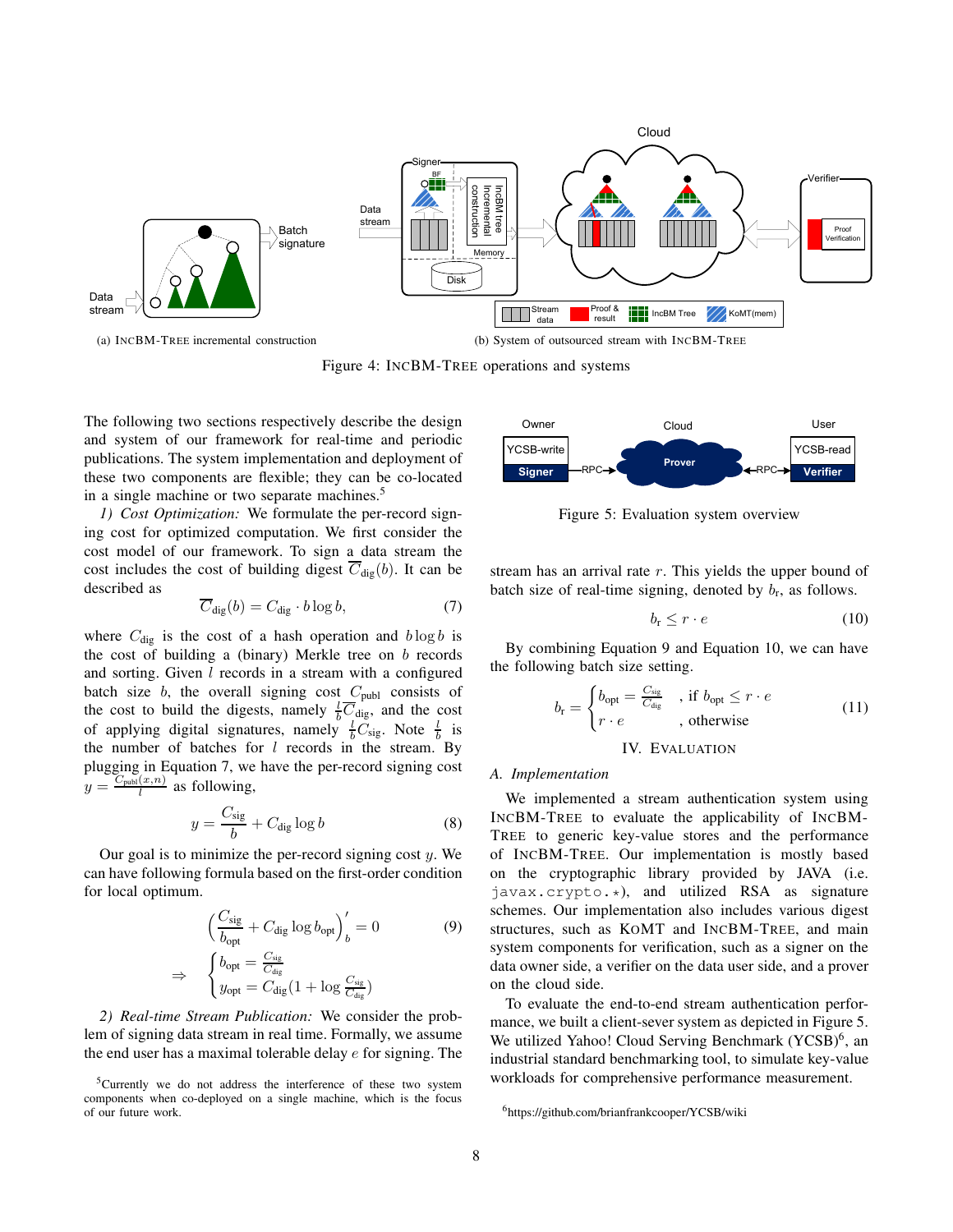

Figure 4: INCBM-TREE operations and systems

The following two sections respectively describe the design and system of our framework for real-time and periodic publications. The system implementation and deployment of these two components are flexible; they can be co-located in a single machine or two separate machines.<sup>5</sup>

*1) Cost Optimization:* We formulate the per-record signing cost for optimized computation. We first consider the cost model of our framework. To sign a data stream the cost includes the cost of building digest  $C_{\text{dig}}(b)$ . It can be described as

$$
\overline{C}_{\text{dig}}(b) = C_{\text{dig}} \cdot b \log b,\tag{7}
$$

where  $C_{\text{dig}}$  is the cost of a hash operation and  $b \log b$  is the cost of building a (binary) Merkle tree on  $b$  records and sorting. Given l records in a stream with a configured batch size  $b$ , the overall signing cost  $C_{\text{publ}}$  consists of the cost to build the digests, namely  $\frac{1}{b} \overline{C}_{\text{dig}}$ , and the cost of applying digital signatures, namely  $\frac{1}{b}C_{\text{sig}}$ . Note  $\frac{1}{b}$  is the number of batches for  $l$  records in the stream. By plugging in Equation 7, we have the per-record signing cost  $y = \frac{C_{\text{publ}}(x,n)}{l}$  $\frac{u(x,n)}{l}$  as following,

$$
y = \frac{C_{\text{sig}}}{b} + C_{\text{dig}} \log b \tag{8}
$$

Our goal is to minimize the per-record signing cost  $y$ . We can have following formula based on the first-order condition for local optimum.

$$
\left(\frac{C_{\text{sig}}}{b_{\text{opt}}} + C_{\text{dig}} \log b_{\text{opt}}\right)'_{b} = 0 \tag{9}
$$
\n
$$
\Rightarrow \quad \begin{cases} b_{\text{opt}} = \frac{C_{\text{sig}}}{C_{\text{dig}}} \\ y_{\text{opt}} = C_{\text{dig}} (1 + \log \frac{C_{\text{sig}}}{C_{\text{dig}}}) \end{cases}
$$

*2) Real-time Stream Publication:* We consider the problem of signing data stream in real time. Formally, we assume the end user has a maximal tolerable delay  $e$  for signing. The



Figure 5: Evaluation system overview

stream has an arrival rate  $r$ . This yields the upper bound of batch size of real-time signing, denoted by  $b_r$ , as follows.

$$
b_{\rm r} \le r \cdot e \tag{10}
$$

By combining Equation 9 and Equation 10, we can have the following batch size setting.

$$
b_{\rm r} = \begin{cases} b_{\rm opt} = \frac{C_{\rm sig}}{C_{\rm dig}} & , \text{ if } b_{\rm opt} \le r \cdot e \\ r \cdot e & , \text{ otherwise} \end{cases}
$$
 (11)

IV. EVALUATION

#### *A. Implementation*

We implemented a stream authentication system using INCBM-TREE to evaluate the applicability of INCBM-TREE to generic key-value stores and the performance of INCBM-TREE. Our implementation is mostly based on the cryptographic library provided by JAVA (i.e. javax.crypto.\*), and utilized RSA as signature schemes. Our implementation also includes various digest structures, such as KOMT and INCBM-TREE, and main system components for verification, such as a signer on the data owner side, a verifier on the data user side, and a prover on the cloud side.

To evaluate the end-to-end stream authentication performance, we built a client-sever system as depicted in Figure 5. We utilized Yahoo! Cloud Serving Benchmark (YCSB)<sup>6</sup>, an industrial standard benchmarking tool, to simulate key-value workloads for comprehensive performance measurement.

<sup>&</sup>lt;sup>5</sup>Currently we do not address the interference of these two system components when co-deployed on a single machine, which is the focus of our future work.

<sup>6</sup>https://github.com/brianfrankcooper/YCSB/wiki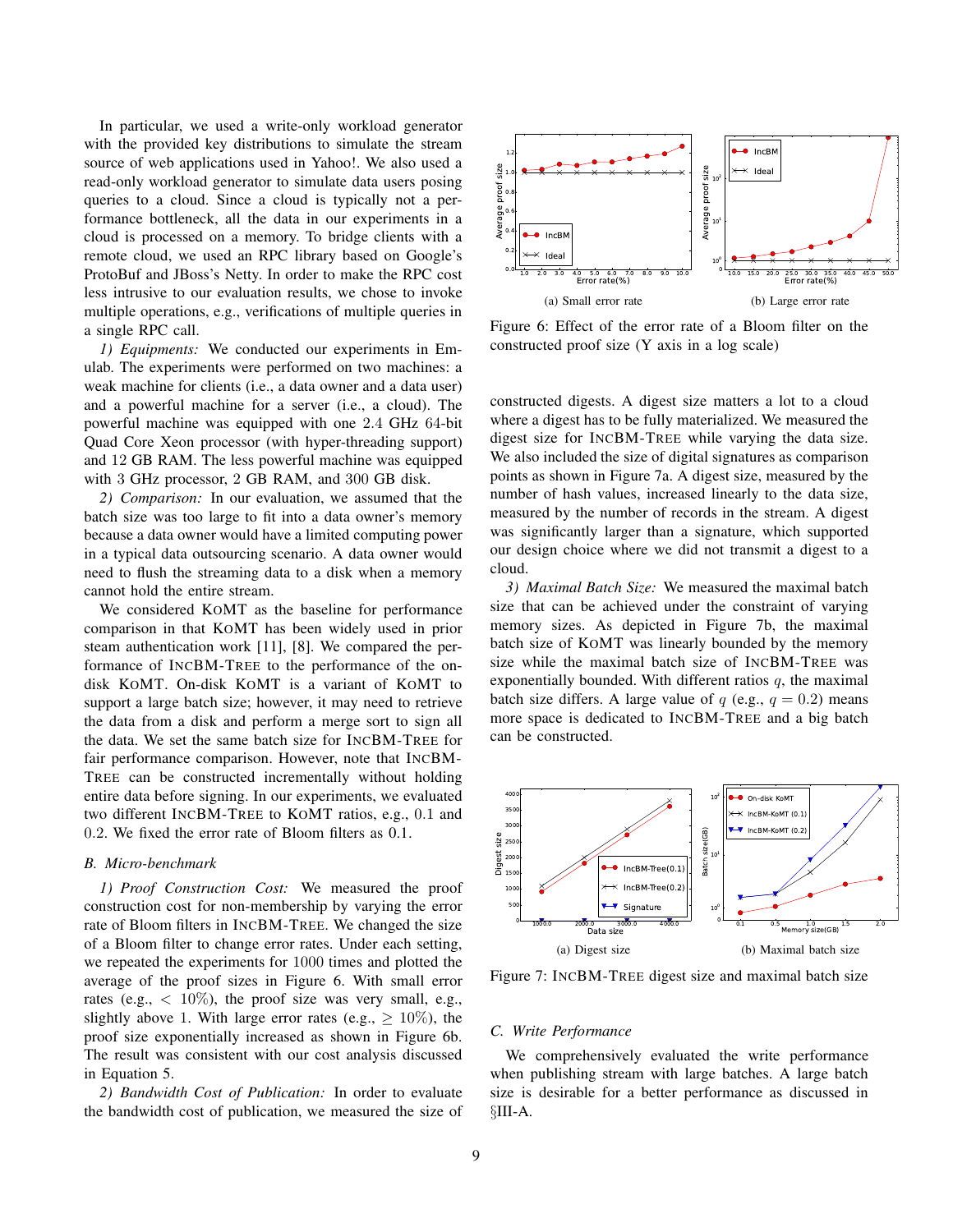In particular, we used a write-only workload generator with the provided key distributions to simulate the stream source of web applications used in Yahoo!. We also used a read-only workload generator to simulate data users posing queries to a cloud. Since a cloud is typically not a performance bottleneck, all the data in our experiments in a cloud is processed on a memory. To bridge clients with a remote cloud, we used an RPC library based on Google's ProtoBuf and JBoss's Netty. In order to make the RPC cost less intrusive to our evaluation results, we chose to invoke multiple operations, e.g., verifications of multiple queries in a single RPC call.

*1) Equipments:* We conducted our experiments in Emulab. The experiments were performed on two machines: a weak machine for clients (i.e., a data owner and a data user) and a powerful machine for a server (i.e., a cloud). The powerful machine was equipped with one 2.4 GHz 64-bit Quad Core Xeon processor (with hyper-threading support) and 12 GB RAM. The less powerful machine was equipped with 3 GHz processor, 2 GB RAM, and 300 GB disk.

*2) Comparison:* In our evaluation, we assumed that the batch size was too large to fit into a data owner's memory because a data owner would have a limited computing power in a typical data outsourcing scenario. A data owner would need to flush the streaming data to a disk when a memory cannot hold the entire stream.

We considered KOMT as the baseline for performance comparison in that KOMT has been widely used in prior steam authentication work [11], [8]. We compared the performance of INCBM-TREE to the performance of the ondisk KOMT. On-disk KOMT is a variant of KOMT to support a large batch size; however, it may need to retrieve the data from a disk and perform a merge sort to sign all the data. We set the same batch size for INCBM-TREE for fair performance comparison. However, note that INCBM-TREE can be constructed incrementally without holding entire data before signing. In our experiments, we evaluated two different INCBM-TREE to KOMT ratios, e.g., 0.1 and 0.2. We fixed the error rate of Bloom filters as 0.1.

## *B. Micro-benchmark*

*1) Proof Construction Cost:* We measured the proof construction cost for non-membership by varying the error rate of Bloom filters in INCBM-TREE. We changed the size of a Bloom filter to change error rates. Under each setting, we repeated the experiments for 1000 times and plotted the average of the proof sizes in Figure 6. With small error rates (e.g.,  $\langle 10\%$ ), the proof size was very small, e.g., slightly above 1. With large error rates (e.g.,  $\geq 10\%$ ), the proof size exponentially increased as shown in Figure 6b. The result was consistent with our cost analysis discussed in Equation 5.

*2) Bandwidth Cost of Publication:* In order to evaluate the bandwidth cost of publication, we measured the size of



Figure 6: Effect of the error rate of a Bloom filter on the constructed proof size (Y axis in a log scale)

constructed digests. A digest size matters a lot to a cloud where a digest has to be fully materialized. We measured the digest size for INCBM-TREE while varying the data size. We also included the size of digital signatures as comparison points as shown in Figure 7a. A digest size, measured by the number of hash values, increased linearly to the data size, measured by the number of records in the stream. A digest was significantly larger than a signature, which supported our design choice where we did not transmit a digest to a cloud.

*3) Maximal Batch Size:* We measured the maximal batch size that can be achieved under the constraint of varying memory sizes. As depicted in Figure 7b, the maximal batch size of KOMT was linearly bounded by the memory size while the maximal batch size of INCBM-TREE was exponentially bounded. With different ratios  $q$ , the maximal batch size differs. A large value of  $q$  (e.g.,  $q = 0.2$ ) means more space is dedicated to INCBM-TREE and a big batch can be constructed.



Figure 7: INCBM-TREE digest size and maximal batch size

## *C. Write Performance*

We comprehensively evaluated the write performance when publishing stream with large batches. A large batch size is desirable for a better performance as discussed in §III-A.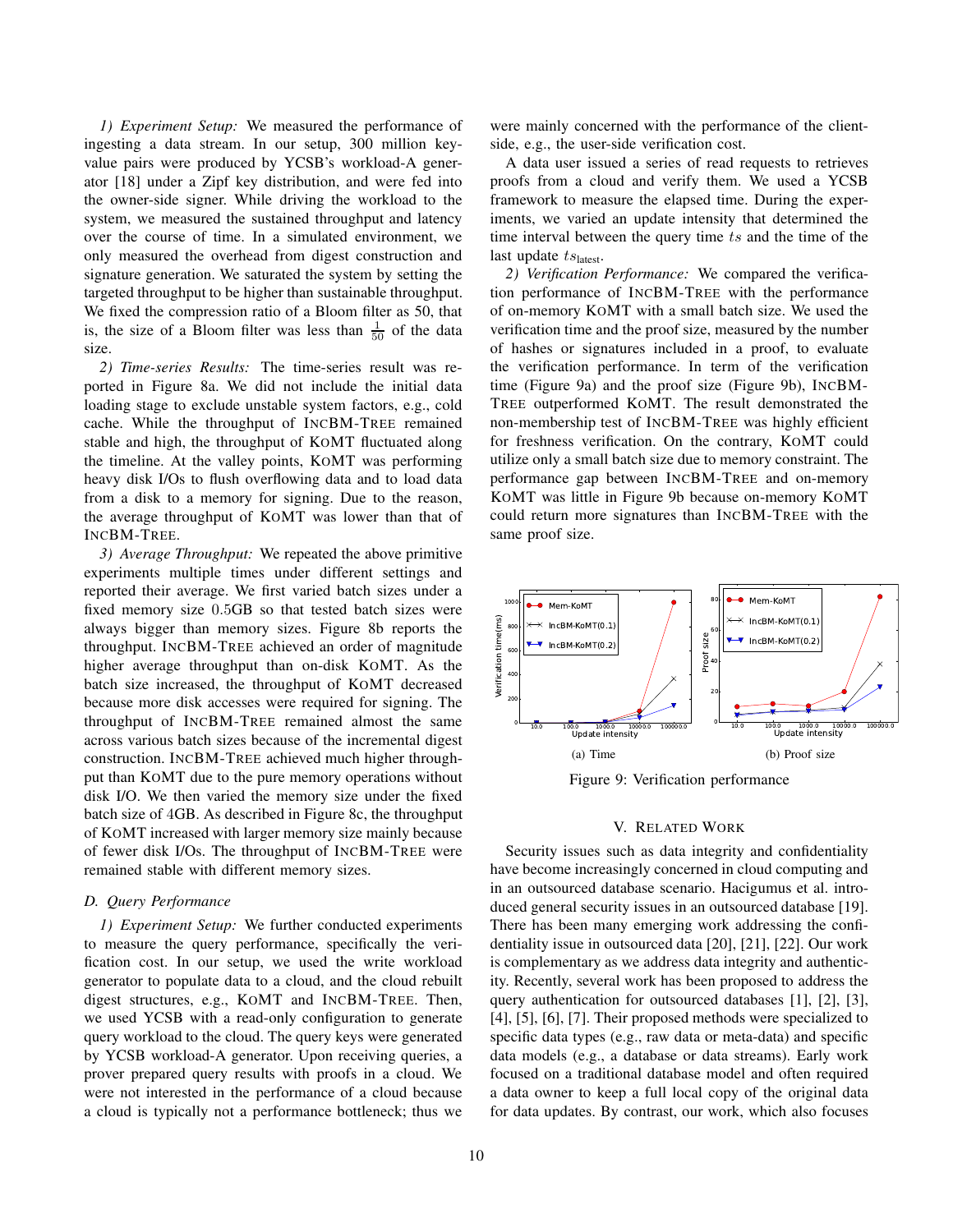*1) Experiment Setup:* We measured the performance of ingesting a data stream. In our setup, 300 million keyvalue pairs were produced by YCSB's workload-A generator [18] under a Zipf key distribution, and were fed into the owner-side signer. While driving the workload to the system, we measured the sustained throughput and latency over the course of time. In a simulated environment, we only measured the overhead from digest construction and signature generation. We saturated the system by setting the targeted throughput to be higher than sustainable throughput. We fixed the compression ratio of a Bloom filter as 50, that is, the size of a Bloom filter was less than  $\frac{1}{50}$  of the data size.

*2) Time-series Results:* The time-series result was reported in Figure 8a. We did not include the initial data loading stage to exclude unstable system factors, e.g., cold cache. While the throughput of INCBM-TREE remained stable and high, the throughput of KOMT fluctuated along the timeline. At the valley points, KOMT was performing heavy disk I/Os to flush overflowing data and to load data from a disk to a memory for signing. Due to the reason, the average throughput of KOMT was lower than that of INCBM-TREE.

*3) Average Throughput:* We repeated the above primitive experiments multiple times under different settings and reported their average. We first varied batch sizes under a fixed memory size 0.5GB so that tested batch sizes were always bigger than memory sizes. Figure 8b reports the throughput. INCBM-TREE achieved an order of magnitude higher average throughput than on-disk KOMT. As the batch size increased, the throughput of KOMT decreased because more disk accesses were required for signing. The throughput of INCBM-TREE remained almost the same across various batch sizes because of the incremental digest construction. INCBM-TREE achieved much higher throughput than KOMT due to the pure memory operations without disk I/O. We then varied the memory size under the fixed batch size of 4GB. As described in Figure 8c, the throughput of KOMT increased with larger memory size mainly because of fewer disk I/Os. The throughput of INCBM-TREE were remained stable with different memory sizes.

#### *D. Query Performance*

*1) Experiment Setup:* We further conducted experiments to measure the query performance, specifically the verification cost. In our setup, we used the write workload generator to populate data to a cloud, and the cloud rebuilt digest structures, e.g., KOMT and INCBM-TREE. Then, we used YCSB with a read-only configuration to generate query workload to the cloud. The query keys were generated by YCSB workload-A generator. Upon receiving queries, a prover prepared query results with proofs in a cloud. We were not interested in the performance of a cloud because a cloud is typically not a performance bottleneck; thus we were mainly concerned with the performance of the clientside, e.g., the user-side verification cost.

A data user issued a series of read requests to retrieves proofs from a cloud and verify them. We used a YCSB framework to measure the elapsed time. During the experiments, we varied an update intensity that determined the time interval between the query time ts and the time of the last update  $ts_{\text{latest}}$ .

*2) Verification Performance:* We compared the verification performance of INCBM-TREE with the performance of on-memory KOMT with a small batch size. We used the verification time and the proof size, measured by the number of hashes or signatures included in a proof, to evaluate the verification performance. In term of the verification time (Figure 9a) and the proof size (Figure 9b), INCBM-TREE outperformed KOMT. The result demonstrated the non-membership test of INCBM-TREE was highly efficient for freshness verification. On the contrary, KOMT could utilize only a small batch size due to memory constraint. The performance gap between INCBM-TREE and on-memory KOMT was little in Figure 9b because on-memory KOMT could return more signatures than INCBM-TREE with the same proof size.



Figure 9: Verification performance

#### V. RELATED WORK

Security issues such as data integrity and confidentiality have become increasingly concerned in cloud computing and in an outsourced database scenario. Hacigumus et al. introduced general security issues in an outsourced database [19]. There has been many emerging work addressing the confidentiality issue in outsourced data [20], [21], [22]. Our work is complementary as we address data integrity and authenticity. Recently, several work has been proposed to address the query authentication for outsourced databases [1], [2], [3], [4], [5], [6], [7]. Their proposed methods were specialized to specific data types (e.g., raw data or meta-data) and specific data models (e.g., a database or data streams). Early work focused on a traditional database model and often required a data owner to keep a full local copy of the original data for data updates. By contrast, our work, which also focuses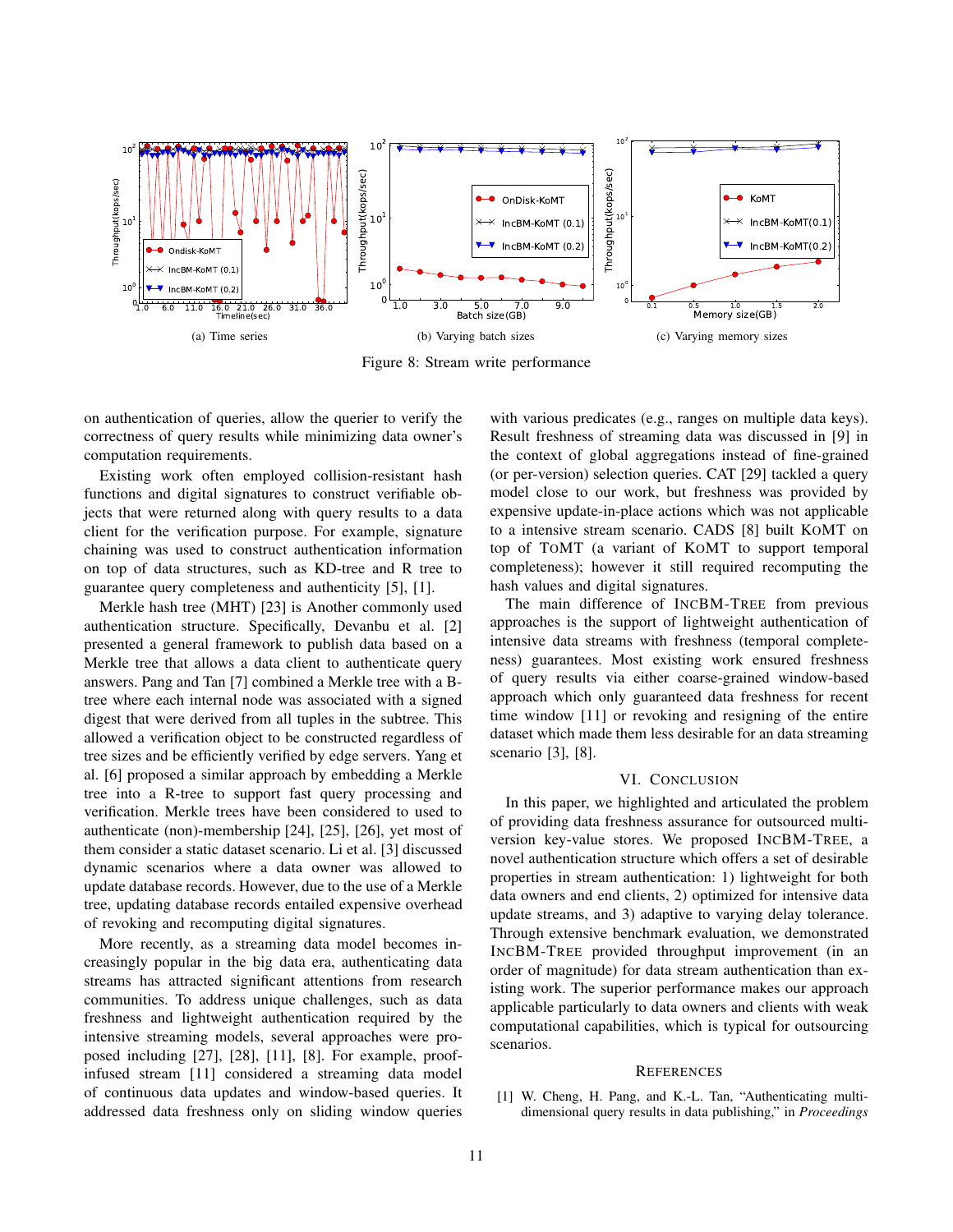

Figure 8: Stream write performance

on authentication of queries, allow the querier to verify the correctness of query results while minimizing data owner's computation requirements.

Existing work often employed collision-resistant hash functions and digital signatures to construct verifiable objects that were returned along with query results to a data client for the verification purpose. For example, signature chaining was used to construct authentication information on top of data structures, such as KD-tree and R tree to guarantee query completeness and authenticity [5], [1].

Merkle hash tree (MHT) [23] is Another commonly used authentication structure. Specifically, Devanbu et al. [2] presented a general framework to publish data based on a Merkle tree that allows a data client to authenticate query answers. Pang and Tan [7] combined a Merkle tree with a Btree where each internal node was associated with a signed digest that were derived from all tuples in the subtree. This allowed a verification object to be constructed regardless of tree sizes and be efficiently verified by edge servers. Yang et al. [6] proposed a similar approach by embedding a Merkle tree into a R-tree to support fast query processing and verification. Merkle trees have been considered to used to authenticate (non)-membership [24], [25], [26], yet most of them consider a static dataset scenario. Li et al. [3] discussed dynamic scenarios where a data owner was allowed to update database records. However, due to the use of a Merkle tree, updating database records entailed expensive overhead of revoking and recomputing digital signatures.

More recently, as a streaming data model becomes increasingly popular in the big data era, authenticating data streams has attracted significant attentions from research communities. To address unique challenges, such as data freshness and lightweight authentication required by the intensive streaming models, several approaches were proposed including [27], [28], [11], [8]. For example, proofinfused stream [11] considered a streaming data model of continuous data updates and window-based queries. It addressed data freshness only on sliding window queries with various predicates (e.g., ranges on multiple data keys). Result freshness of streaming data was discussed in [9] in the context of global aggregations instead of fine-grained (or per-version) selection queries. CAT [29] tackled a query model close to our work, but freshness was provided by expensive update-in-place actions which was not applicable to a intensive stream scenario. CADS [8] built KOMT on top of TOMT (a variant of KOMT to support temporal completeness); however it still required recomputing the hash values and digital signatures.

The main difference of INCBM-TREE from previous approaches is the support of lightweight authentication of intensive data streams with freshness (temporal completeness) guarantees. Most existing work ensured freshness of query results via either coarse-grained window-based approach which only guaranteed data freshness for recent time window [11] or revoking and resigning of the entire dataset which made them less desirable for an data streaming scenario [3], [8].

## VI. CONCLUSION

In this paper, we highlighted and articulated the problem of providing data freshness assurance for outsourced multiversion key-value stores. We proposed INCBM-TREE, a novel authentication structure which offers a set of desirable properties in stream authentication: 1) lightweight for both data owners and end clients, 2) optimized for intensive data update streams, and 3) adaptive to varying delay tolerance. Through extensive benchmark evaluation, we demonstrated INCBM-TREE provided throughput improvement (in an order of magnitude) for data stream authentication than existing work. The superior performance makes our approach applicable particularly to data owners and clients with weak computational capabilities, which is typical for outsourcing scenarios.

#### **REFERENCES**

[1] W. Cheng, H. Pang, and K.-L. Tan, "Authenticating multidimensional query results in data publishing," in *Proceedings*